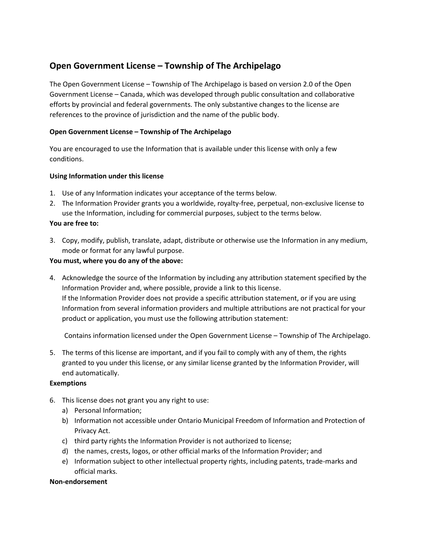# **Open Government License – Township of The Archipelago**

The Open Government License – Township of The Archipelago is based on version 2.0 of the Open Government License – Canada, which was developed through public consultation and collaborative efforts by provincial and federal governments. The only substantive changes to the license are references to the province of jurisdiction and the name of the public body.

## **Open Government License – Township of The Archipelago**

You are encouraged to use the Information that is available under this license with only a few conditions.

## **Using Information under this license**

- 1. Use of any Information indicates your acceptance of the terms below.
- 2. The Information Provider grants you a worldwide, royalty-free, perpetual, non-exclusive license to use the Information, including for commercial purposes, subject to the terms below.

## **You are free to:**

3. Copy, modify, publish, translate, adapt, distribute or otherwise use the Information in any medium, mode or format for any lawful purpose.

### **You must, where you do any of the above:**

4. Acknowledge the source of the Information by including any attribution statement specified by the Information Provider and, where possible, provide a link to this license. If the Information Provider does not provide a specific attribution statement, or if you are using Information from several information providers and multiple attributions are not practical for your product or application, you must use the following attribution statement:

Contains information licensed under the Open Government License – Township of The Archipelago.

5. The terms of this license are important, and if you fail to comply with any of them, the rights granted to you under this license, or any similar license granted by the Information Provider, will end automatically.

#### **Exemptions**

- 6. This license does not grant you any right to use:
	- a) Personal Information;
	- b) Information not accessible under Ontario Municipal Freedom of Information and Protection of Privacy Act.
	- c) third party rights the Information Provider is not authorized to license;
	- d) the names, crests, logos, or other official marks of the Information Provider; and
	- e) Information subject to other intellectual property rights, including patents, trade-marks and official marks.

#### **Non-endorsement**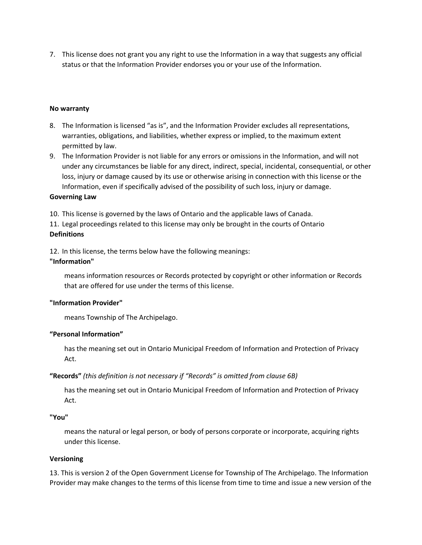7. This license does not grant you any right to use the Information in a way that suggests any official status or that the Information Provider endorses you or your use of the Information.

#### **No warranty**

- 8. The Information is licensed "as is", and the Information Provider excludes all representations, warranties, obligations, and liabilities, whether express or implied, to the maximum extent permitted by law.
- 9. The Information Provider is not liable for any errors or omissions in the Information, and will not under any circumstances be liable for any direct, indirect, special, incidental, consequential, or other loss, injury or damage caused by its use or otherwise arising in connection with this license or the Information, even if specifically advised of the possibility of such loss, injury or damage.

#### **Governing Law**

10. This license is governed by the laws of Ontario and the applicable laws of Canada.

11. Legal proceedings related to this license may only be brought in the courts of Ontario **Definitions**

12. In this license, the terms below have the following meanings: **"Information"**

means information resources or Records protected by copyright or other information or Records that are offered for use under the terms of this license.

#### **"Information Provider"**

means Township of The Archipelago.

#### **"Personal Information"**

has the meaning set out in Ontario Municipal Freedom of Information and Protection of Privacy Act.

#### **"Records"** *(this definition is not necessary if "Records" is omitted from clause 6B)*

has the meaning set out in Ontario Municipal Freedom of Information and Protection of Privacy Act.

#### **"You"**

means the natural or legal person, or body of persons corporate or incorporate, acquiring rights under this license.

#### **Versioning**

13. This is version 2 of the Open Government License for Township of The Archipelago. The Information Provider may make changes to the terms of this license from time to time and issue a new version of the